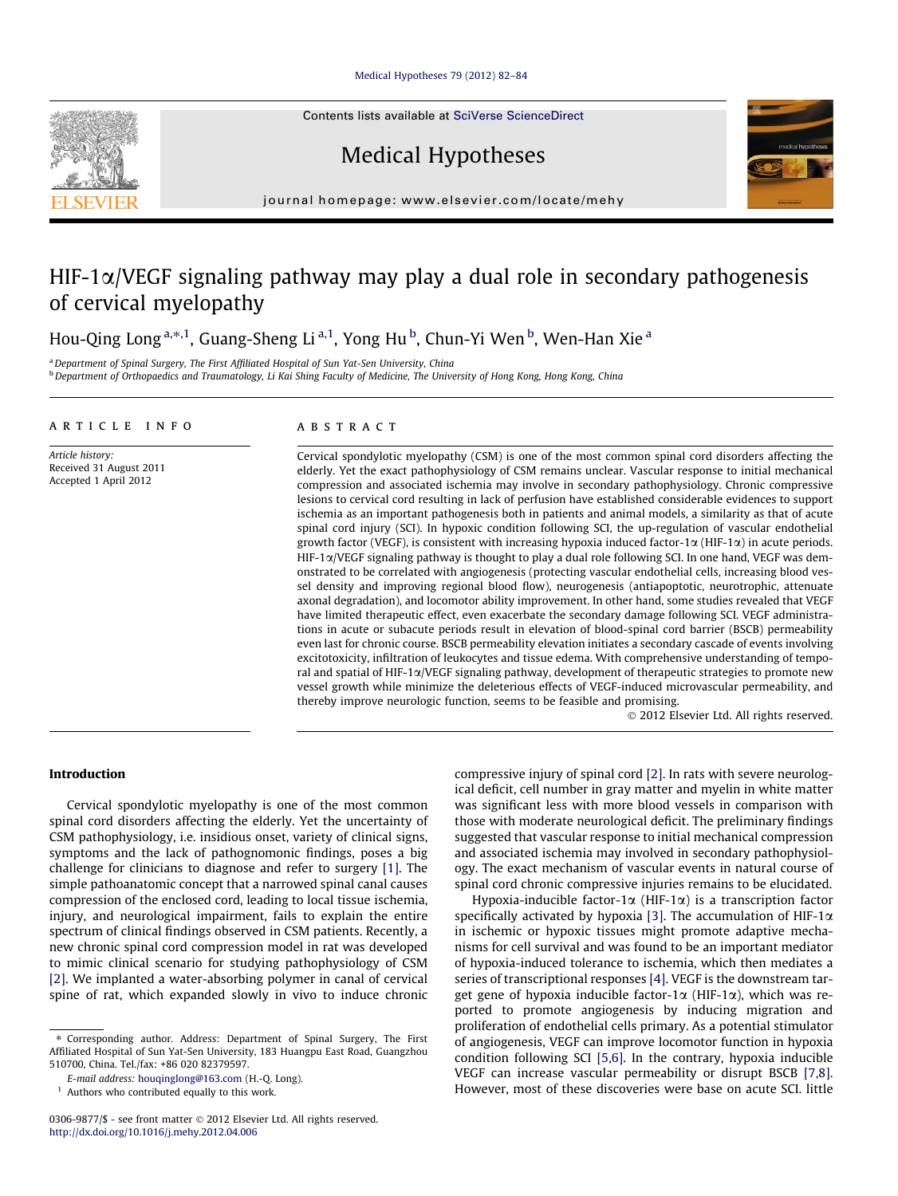# [Medical Hypotheses 79 \(2012\) 82–84](http://dx.doi.org/10.1016/j.mehy.2012.04.006)

Contents lists available at [SciVerse ScienceDirect](http://www.sciencedirect.com/science/journal/03069877)

Medical Hypotheses



# HIF-1 $\alpha$ /VEGF signaling pathway may play a dual role in secondary pathogenesis of cervical myelopathy

Hou-Qing Long <sup>a,\*,1</sup>, Guang-Sheng Li <sup>a,1</sup>, Yong Hu <sup>b</sup>, Chun-Yi Wen <sup>b</sup>, Wen-Han Xie <sup>a</sup>

a Department of Spinal Surgery, The First Affiliated Hospital of Sun Yat-Sen University, China <sup>b</sup> Department of Orthopaedics and Traumatology, Li Kai Shing Faculty of Medicine, The University of Hong Kong, Hong Kong, China

#### article info

Article history: Received 31 August 2011 Accepted 1 April 2012

# ABSTRACT

Cervical spondylotic myelopathy (CSM) is one of the most common spinal cord disorders affecting the elderly. Yet the exact pathophysiology of CSM remains unclear. Vascular response to initial mechanical compression and associated ischemia may involve in secondary pathophysiology. Chronic compressive lesions to cervical cord resulting in lack of perfusion have established considerable evidences to support ischemia as an important pathogenesis both in patients and animal models, a similarity as that of acute spinal cord injury (SCI). In hypoxic condition following SCI, the up-regulation of vascular endothelial growth factor (VEGF), is consistent with increasing hypoxia induced factor-1 $\alpha$  (HIF-1 $\alpha$ ) in acute periods.  $HIF-1\alpha/VEGF$  signaling pathway is thought to play a dual role following SCI. In one hand, VEGF was demonstrated to be correlated with angiogenesis (protecting vascular endothelial cells, increasing blood vessel density and improving regional blood flow), neurogenesis (antiapoptotic, neurotrophic, attenuate axonal degradation), and locomotor ability improvement. In other hand, some studies revealed that VEGF have limited therapeutic effect, even exacerbate the secondary damage following SCI. VEGF administrations in acute or subacute periods result in elevation of blood-spinal cord barrier (BSCB) permeability even last for chronic course. BSCB permeability elevation initiates a secondary cascade of events involving excitotoxicity, infiltration of leukocytes and tissue edema. With comprehensive understanding of temporal and spatial of HIF-1a/VEGF signaling pathway, development of therapeutic strategies to promote new vessel growth while minimize the deleterious effects of VEGF-induced microvascular permeability, and thereby improve neurologic function, seems to be feasible and promising.

- 2012 Elsevier Ltd. All rights reserved.

# Introduction

Cervical spondylotic myelopathy is one of the most common spinal cord disorders affecting the elderly. Yet the uncertainty of CSM pathophysiology, i.e. insidious onset, variety of clinical signs, symptoms and the lack of pathognomonic findings, poses a big challenge for clinicians to diagnose and refer to surgery [\[1\].](#page-2-0) The simple pathoanatomic concept that a narrowed spinal canal causes compression of the enclosed cord, leading to local tissue ischemia, injury, and neurological impairment, fails to explain the entire spectrum of clinical findings observed in CSM patients. Recently, a new chronic spinal cord compression model in rat was developed to mimic clinical scenario for studying pathophysiology of CSM [\[2\]](#page-2-0). We implanted a water-absorbing polymer in canal of cervical spine of rat, which expanded slowly in vivo to induce chronic compressive injury of spinal cord [\[2\].](#page-2-0) In rats with severe neurological deficit, cell number in gray matter and myelin in white matter was significant less with more blood vessels in comparison with those with moderate neurological deficit. The preliminary findings suggested that vascular response to initial mechanical compression and associated ischemia may involved in secondary pathophysiology. The exact mechanism of vascular events in natural course of spinal cord chronic compressive injuries remains to be elucidated.

Hypoxia-inducible factor-1 $\alpha$  (HIF-1 $\alpha$ ) is a transcription factor specifically activated by hypoxia [\[3\]](#page-2-0). The accumulation of HIF-1 $\alpha$ in ischemic or hypoxic tissues might promote adaptive mechanisms for cell survival and was found to be an important mediator of hypoxia-induced tolerance to ischemia, which then mediates a series of transcriptional responses [\[4\].](#page-2-0) VEGF is the downstream target gene of hypoxia inducible factor-1 $\alpha$  (HIF-1 $\alpha$ ), which was reported to promote angiogenesis by inducing migration and proliferation of endothelial cells primary. As a potential stimulator of angiogenesis, VEGF can improve locomotor function in hypoxia condition following SCI [\[5,6\]](#page-2-0). In the contrary, hypoxia inducible VEGF can increase vascular permeability or disrupt BSCB [\[7,8\].](#page-2-0) However, most of these discoveries were base on acute SCI. little





<sup>⇑</sup> Corresponding author. Address: Department of Spinal Surgery, The First Affiliated Hospital of Sun Yat-Sen University, 183 Huangpu East Road, Guangzhou 510700, China. Tel./fax: +86 020 82379597.

E-mail address: [houqinglong@163.com](mailto:houqinglong@163.com) (H.-Q. Long).

<sup>&</sup>lt;sup>1</sup> Authors who contributed equally to this work.

<sup>0306-9877/\$ -</sup> see front matter © 2012 Elsevier Ltd. All rights reserved. <http://dx.doi.org/10.1016/j.mehy.2012.04.006>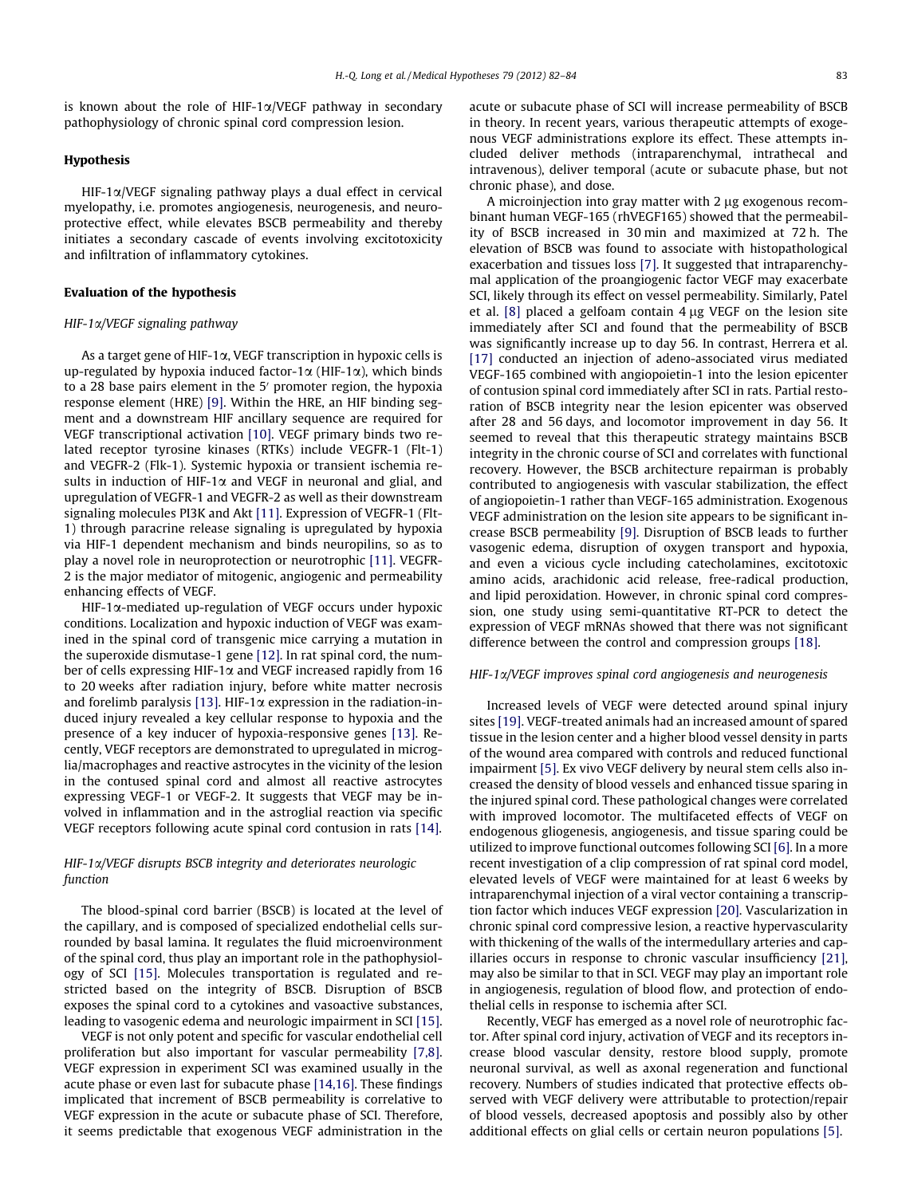is known about the role of HIF-1 $\alpha$ /VEGF pathway in secondary pathophysiology of chronic spinal cord compression lesion.

# Hypothesis

 $HIF-1\alpha/VEGF$  signaling pathway plays a dual effect in cervical myelopathy, i.e. promotes angiogenesis, neurogenesis, and neuroprotective effect, while elevates BSCB permeability and thereby initiates a secondary cascade of events involving excitotoxicity and infiltration of inflammatory cytokines.

#### Evaluation of the hypothesis

#### HIF-1 $\alpha$ /VEGF signaling pathway

As a target gene of HIF-1 $\alpha$ , VEGF transcription in hypoxic cells is up-regulated by hypoxia induced factor-1 $\alpha$  (HIF-1 $\alpha$ ), which binds to a 28 base pairs element in the 5' promoter region, the hypoxia response element (HRE) [\[9\]](#page-2-0). Within the HRE, an HIF binding segment and a downstream HIF ancillary sequence are required for VEGF transcriptional activation [\[10\].](#page-2-0) VEGF primary binds two related receptor tyrosine kinases (RTKs) include VEGFR-1 (Flt-1) and VEGFR-2 (Flk-1). Systemic hypoxia or transient ischemia results in induction of HIF-1 $\alpha$  and VEGF in neuronal and glial, and upregulation of VEGFR-1 and VEGFR-2 as well as their downstream signaling molecules PI3K and Akt [\[11\]](#page-2-0). Expression of VEGFR-1 (Flt-1) through paracrine release signaling is upregulated by hypoxia via HIF-1 dependent mechanism and binds neuropilins, so as to play a novel role in neuroprotection or neurotrophic [\[11\].](#page-2-0) VEGFR-2 is the major mediator of mitogenic, angiogenic and permeability enhancing effects of VEGF.

HIF-1a-mediated up-regulation of VEGF occurs under hypoxic conditions. Localization and hypoxic induction of VEGF was examined in the spinal cord of transgenic mice carrying a mutation in the superoxide dismutase-1 gene [\[12\].](#page-2-0) In rat spinal cord, the number of cells expressing HIF-1 $\alpha$  and VEGF increased rapidly from 16 to 20 weeks after radiation injury, before white matter necrosis and forelimb paralysis [\[13\].](#page-2-0) HIF-1 $\alpha$  expression in the radiation-induced injury revealed a key cellular response to hypoxia and the presence of a key inducer of hypoxia-responsive genes [\[13\].](#page-2-0) Recently, VEGF receptors are demonstrated to upregulated in microglia/macrophages and reactive astrocytes in the vicinity of the lesion in the contused spinal cord and almost all reactive astrocytes expressing VEGF-1 or VEGF-2. It suggests that VEGF may be involved in inflammation and in the astroglial reaction via specific VEGF receptors following acute spinal cord contusion in rats [\[14\]](#page-2-0).

# HIF-1a/VEGF disrupts BSCB integrity and deteriorates neurologic function

The blood-spinal cord barrier (BSCB) is located at the level of the capillary, and is composed of specialized endothelial cells surrounded by basal lamina. It regulates the fluid microenvironment of the spinal cord, thus play an important role in the pathophysiology of SCI [\[15\]](#page-2-0). Molecules transportation is regulated and restricted based on the integrity of BSCB. Disruption of BSCB exposes the spinal cord to a cytokines and vasoactive substances, leading to vasogenic edema and neurologic impairment in SCI [\[15\].](#page-2-0)

VEGF is not only potent and specific for vascular endothelial cell proliferation but also important for vascular permeability [\[7,8\].](#page-2-0) VEGF expression in experiment SCI was examined usually in the acute phase or even last for subacute phase [\[14,16\]](#page-2-0). These findings implicated that increment of BSCB permeability is correlative to VEGF expression in the acute or subacute phase of SCI. Therefore, it seems predictable that exogenous VEGF administration in the acute or subacute phase of SCI will increase permeability of BSCB in theory. In recent years, various therapeutic attempts of exogenous VEGF administrations explore its effect. These attempts included deliver methods (intraparenchymal, intrathecal and intravenous), deliver temporal (acute or subacute phase, but not chronic phase), and dose.

A microinjection into gray matter with  $2 \mu$ g exogenous recombinant human VEGF-165 (rhVEGF165) showed that the permeability of BSCB increased in 30 min and maximized at 72 h. The elevation of BSCB was found to associate with histopathological exacerbation and tissues loss [\[7\]](#page-2-0). It suggested that intraparenchymal application of the proangiogenic factor VEGF may exacerbate SCI, likely through its effect on vessel permeability. Similarly, Patel et al.  $[8]$  placed a gelfoam contain  $4 \mu g$  VEGF on the lesion site immediately after SCI and found that the permeability of BSCB was significantly increase up to day 56. In contrast, Herrera et al. [\[17\]](#page-2-0) conducted an injection of adeno-associated virus mediated VEGF-165 combined with angiopoietin-1 into the lesion epicenter of contusion spinal cord immediately after SCI in rats. Partial restoration of BSCB integrity near the lesion epicenter was observed after 28 and 56 days, and locomotor improvement in day 56. It seemed to reveal that this therapeutic strategy maintains BSCB integrity in the chronic course of SCI and correlates with functional recovery. However, the BSCB architecture repairman is probably contributed to angiogenesis with vascular stabilization, the effect of angiopoietin-1 rather than VEGF-165 administration. Exogenous VEGF administration on the lesion site appears to be significant increase BSCB permeability [\[9\]](#page-2-0). Disruption of BSCB leads to further vasogenic edema, disruption of oxygen transport and hypoxia, and even a vicious cycle including catecholamines, excitotoxic amino acids, arachidonic acid release, free-radical production, and lipid peroxidation. However, in chronic spinal cord compression, one study using semi-quantitative RT-PCR to detect the expression of VEGF mRNAs showed that there was not significant difference between the control and compression groups [\[18\].](#page-2-0)

## HIF-1a/VEGF improves spinal cord angiogenesis and neurogenesis

Increased levels of VEGF were detected around spinal injury sites [\[19\].](#page-2-0) VEGF-treated animals had an increased amount of spared tissue in the lesion center and a higher blood vessel density in parts of the wound area compared with controls and reduced functional impairment [\[5\]](#page-2-0). Ex vivo VEGF delivery by neural stem cells also increased the density of blood vessels and enhanced tissue sparing in the injured spinal cord. These pathological changes were correlated with improved locomotor. The multifaceted effects of VEGF on endogenous gliogenesis, angiogenesis, and tissue sparing could be utilized to improve functional outcomes following SCI [\[6\]](#page-2-0). In a more recent investigation of a clip compression of rat spinal cord model, elevated levels of VEGF were maintained for at least 6 weeks by intraparenchymal injection of a viral vector containing a transcription factor which induces VEGF expression [\[20\]](#page-2-0). Vascularization in chronic spinal cord compressive lesion, a reactive hypervascularity with thickening of the walls of the intermedullary arteries and capillaries occurs in response to chronic vascular insufficiency [\[21\],](#page-2-0) may also be similar to that in SCI. VEGF may play an important role in angiogenesis, regulation of blood flow, and protection of endothelial cells in response to ischemia after SCI.

Recently, VEGF has emerged as a novel role of neurotrophic factor. After spinal cord injury, activation of VEGF and its receptors increase blood vascular density, restore blood supply, promote neuronal survival, as well as axonal regeneration and functional recovery. Numbers of studies indicated that protective effects observed with VEGF delivery were attributable to protection/repair of blood vessels, decreased apoptosis and possibly also by other additional effects on glial cells or certain neuron populations [\[5\]](#page-2-0).